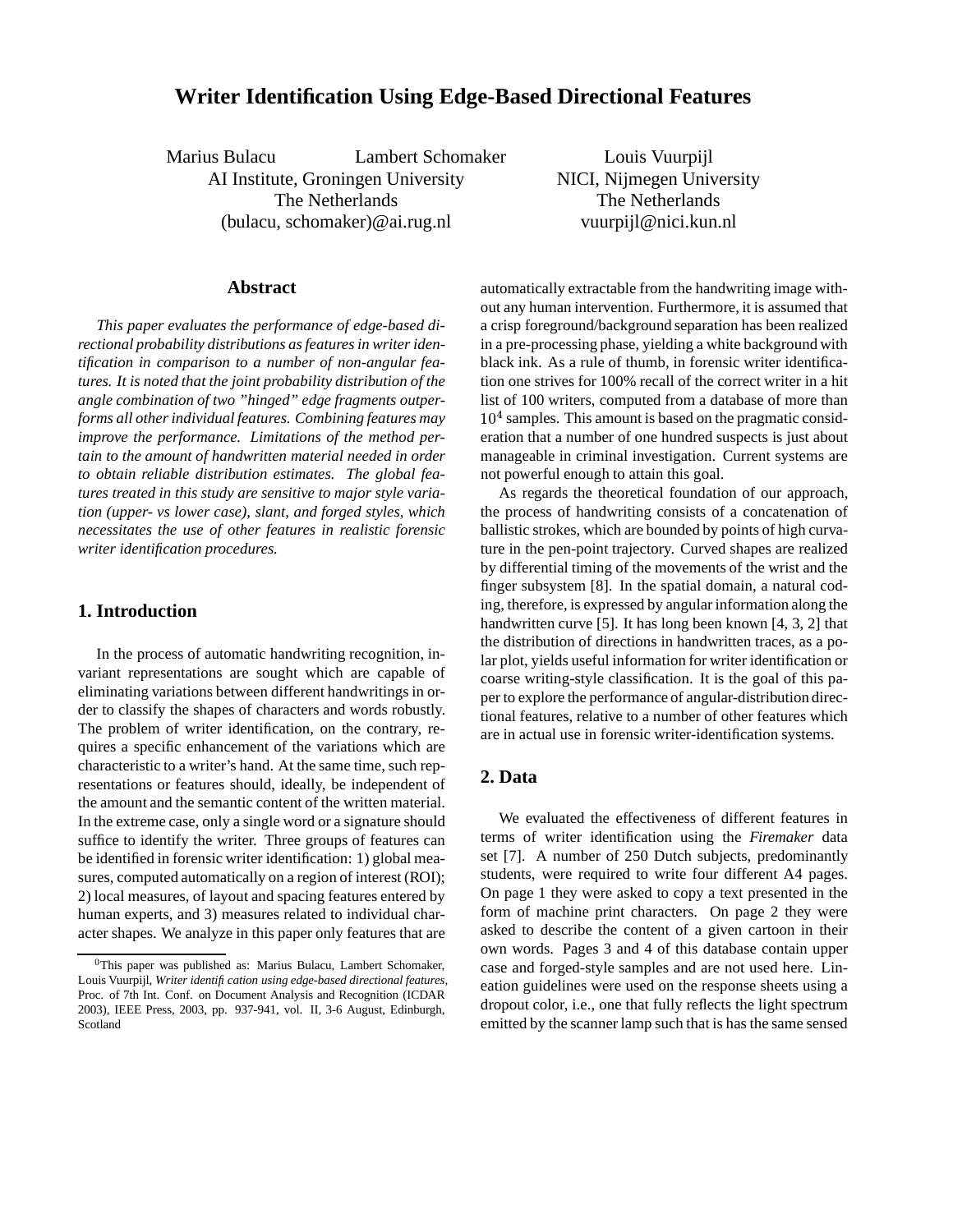# **Writer Identification Using Edge-Based Directional Features**

Marius Bulacu Lambert Schomaker AI Institute, Groningen University The Netherlands (bulacu, schomaker)@ai.rug.nl

Louis Vuurpijl NICI, Nijmegen University The Netherlands vuurpijl@nici.kun.nl

## **Abstract**

*This paper evaluates the performance of edge-based directional probability distributions as featuresin writer identification in comparison to a number of non-angular features. It is noted that the joint probability distribution of the angle combination of two "hinged" edge fragments outperforms all other individual features. Combining features may improve the performance. Limitations of the method pertain to the amount of handwritten material needed in order to obtain reliable distribution estimates. The global features treated in this study are sensitive to major style variation (upper- vs lower case), slant, and forged styles, which necessitates the use of other features in realistic forensic writer identification procedures.*

## **1. Introduction**

In the process of automatic handwriting recognition, invariant representations are sought which are capable of eliminating variations between different handwritings in order to classify the shapes of characters and words robustly. The problem of writer identification, on the contrary, requires a specific enhancement of the variations which are characteristic to a writer's hand. At the same time, such representations or features should, ideally, be independent of the amount and the semantic content of the written material. In the extreme case, only a single word or a signature should suffice to identify the writer. Three groups of features can be identified in forensic writer identification: 1) global measures, computed automatically on a region of interest (ROI); 2) local measures, of layout and spacing features entered by human experts, and 3) measures related to individual character shapes. We analyze in this paper only features that are

automatically extractable from the handwriting image without any human intervention. Furthermore, it is assumed that a crisp foreground/background separation has been realized in a pre-processing phase, yielding a white background with black ink. As a rule of thumb, in forensic writer identification one strives for 100% recall of the correct writer in a hit list of 100 writers, computed from a database of more than  $10<sup>4</sup>$  samples. This amount is based on the pragmatic consideration that a number of one hundred suspects is just about manageable in criminal investigation. Current systems are not powerful enough to attain this goal.

As regards the theoretical foundation of our approach, the process of handwriting consists of a concatenation of ballistic strokes, which are bounded by points of high curvature in the pen-point trajectory. Curved shapes are realized by differential timing of the movements of the wrist and the finger subsystem [8]. In the spatial domain, a natural coding, therefore, is expressed by angular information along the handwritten curve [5]. It has long been known [4, 3, 2] that the distribution of directions in handwritten traces, as a polar plot, yields useful information for writer identification or coarse writing-style classification. It is the goal of this paper to explore the performance of angular-distribution directional features, relative to a number of other features which are in actual use in forensic writer-identification systems.

# **2. Data**

We evaluated the effectiveness of different features in terms of writer identification using the *Firemaker* data set [7]. A number of 250 Dutch subjects, predominantly students, were required to write four different A4 pages. On page 1 they were asked to copy a text presented in the form of machine print characters. On page 2 they were asked to describe the content of a given cartoon in their own words. Pages 3 and 4 of this database contain upper case and forged-style samples and are not used here. Lineation guidelines were used on the response sheets using a dropout color, i.e., one that fully reflects the light spectrum emitted by the scanner lamp such that is has the same sensed

 $0$ This paper was published as: Marius Bulacu, Lambert Schomaker, Louis Vuurpijl, *Writer identification using edge-based directional features*, Proc. of 7th Int. Conf. on Document Analysis and Recognition (ICDAR 2003), IEEE Press, 2003, pp. 937-941, vol. II, 3-6 August, Edinburgh, Scotland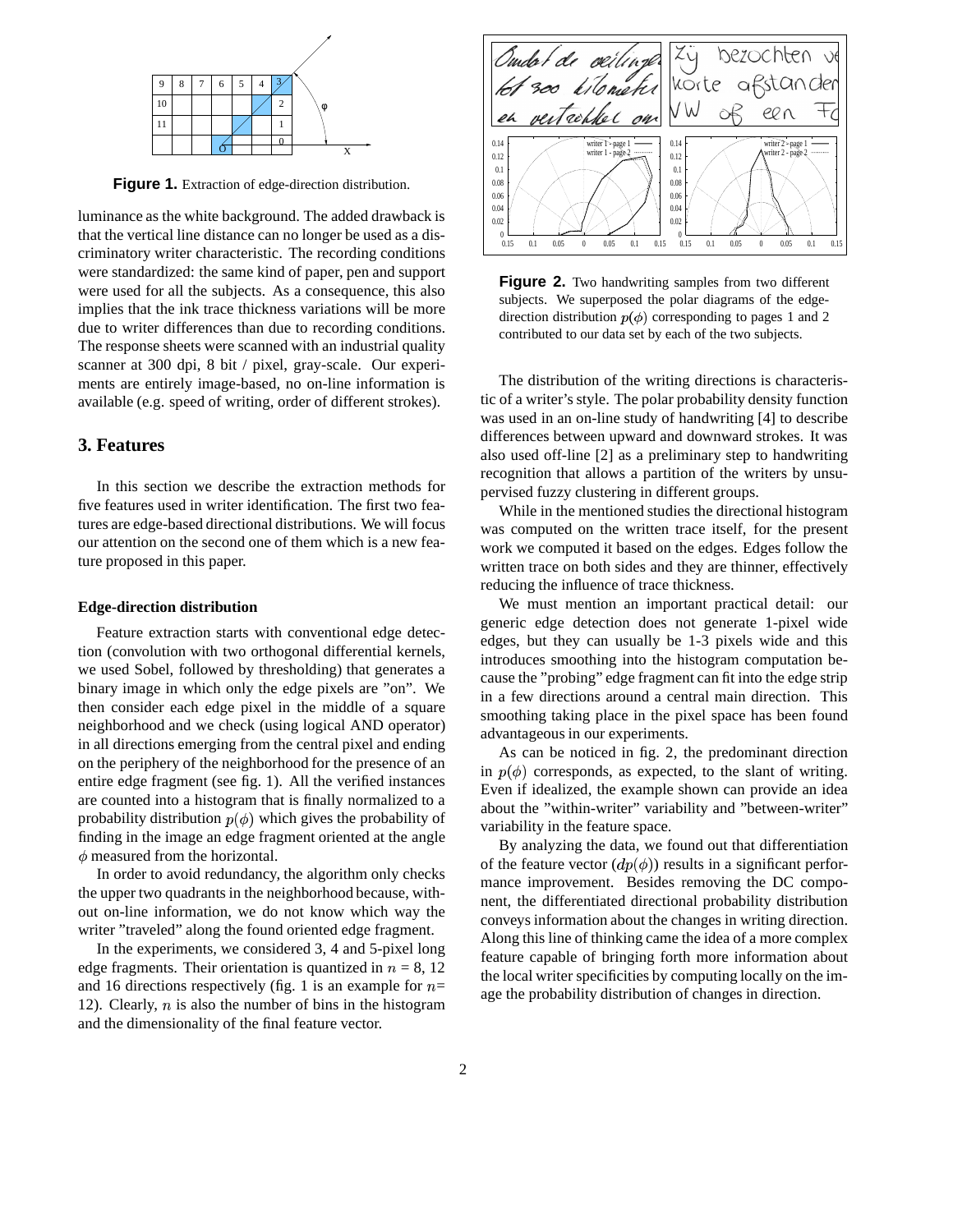

**Figure 1.** Extraction of edge-direction distribution.

luminance as the white background. The added drawback is that the vertical line distance can no longer be used as a discriminatory writer characteristic. The recording conditions were standardized: the same kind of paper, pen and support were used for all the subjects. As a consequence, this also implies that the ink trace thickness variations will be more due to writer differences than due to recording conditions. The response sheets were scanned with an industrial quality scanner at 300 dpi, 8 bit / pixel, gray-scale. Our experiments are entirely image-based, no on-line information is available (e.g. speed of writing, order of different strokes).

## **3. Features**

In this section we describe the extraction methods for five features used in writer identification. The first two features are edge-based directional distributions. We will focus our attention on the second one of them which is a new feature proposed in this paper.

#### **Edge-direction distribution**

Feature extraction starts with conventional edge detection (convolution with two orthogonal differential kernels, we used Sobel, followed by thresholding) that generates a binary image in which only the edge pixels are "on". We then consider each edge pixel in the middle of a square neighborhood and we check (using logical AND operator) in all directions emerging from the central pixel and ending on the periphery of the neighborhood for the presence of an entire edge fragment (see fig. 1). All the verified instances are counted into a histogram that is finally normalized to a probability distribution  $p(\phi)$  which gives the probability of finding in the image an edge fragment oriented at the angle  $\phi$  measured from the horizontal.

In order to avoid redundancy, the algorithm only checks the upper two quadrants in the neighborhood because, without on-line information, we do not know which way the writer "traveled" along the found oriented edge fragment.

In the experiments, we considered 3, 4 and 5-pixel long edge fragments. Their orientation is quantized in  $n = 8, 12$ and 16 directions respectively (fig. 1 is an example for  $n=$ 12). Clearly,  $n$  is also the number of bins in the histogram and the dimensionality of the final feature vector.



**Figure 2.** Two handwriting samples from two different subjects. We superposed the polar diagrams of the edgedirection distribution  $p(\phi)$  corresponding to pages 1 and 2 contributed to our data set by each of the two subjects.

The distribution of the writing directions is characteristic of a writer's style. The polar probability density function was used in an on-line study of handwriting [4] to describe differences between upward and downward strokes. It was also used off-line [2] as a preliminary step to handwriting recognition that allows a partition of the writers by unsupervised fuzzy clustering in different groups.

While in the mentioned studies the directional histogram was computed on the written trace itself, for the present work we computed it based on the edges. Edges follow the written trace on both sides and they are thinner, effectively reducing the influence of trace thickness.

We must mention an important practical detail: our generic edge detection does not generate 1-pixel wide edges, but they can usually be 1-3 pixels wide and this introduces smoothing into the histogram computation because the "probing" edge fragment can fit into the edge strip in a few directions around a central main direction. This smoothing taking place in the pixel space has been found advantageous in our experiments.

As can be noticed in fig. 2, the predominant direction in  $p(\phi)$  corresponds, as expected, to the slant of writing. Even if idealized, the example shown can provide an idea about the "within-writer" variability and "between-writer" variability in the feature space.

By analyzing the data, we found out that differentiation of the feature vector  $(dp(\phi))$  results in a significant performance improvement. Besides removing the DC component, the differentiated directional probability distribution conveys information about the changes in writing direction. Along this line of thinking came the idea of a more complex feature capable of bringing forth more information about the local writer specificities by computing locally on the image the probability distribution of changes in direction.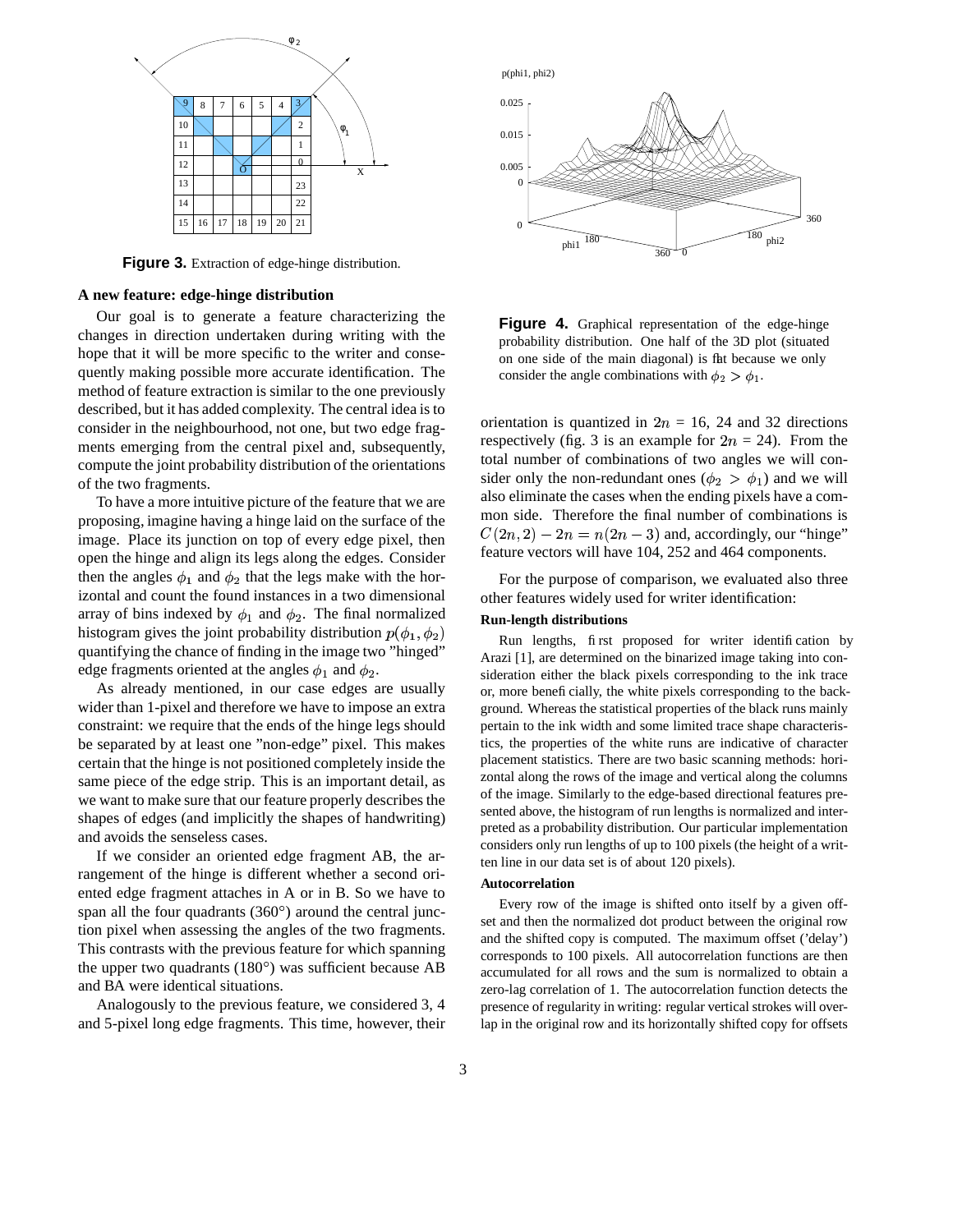

**Figure 3.** Extraction of edge-hinge distribution.

#### **A new feature: edge-hinge distribution**

Our goal is to generate a feature characterizing the changes in direction undertaken during writing with the hope that it will be more specific to the writer and consequently making possible more accurate identification. The method of feature extraction is similar to the one previously described, but it has added complexity. The central idea is to consider in the neighbourhood, not one, but two edge fragments emerging from the central pixel and, subsequently, compute the joint probability distribution of the orientations of the two fragments.

To have a more intuitive picture of the feature that we are proposing, imagine having a hinge laid on the surface of the image. Place its junction on top of every edge pixel, then open the hinge and align its legs along the edges. Consider then the angles  $\phi_1$  and  $\phi_2$  that the legs make with the horizontal and count the found instances in a two dimensional array of bins indexed by  $\phi_1$  and  $\phi_2$ . The final normalized histogram gives the joint probability distribution  $p(\phi_1, \phi_2)$ quantifying the chance of finding in the image two "hinged" edge fragments oriented at the angles  $\phi_1$  and  $\phi_2$ .

As already mentioned, in our case edges are usually wider than 1-pixel and therefore we have to impose an extra constraint: we require that the ends of the hinge legs should be separated by at least one "non-edge" pixel. This makes certain that the hinge is not positioned completely inside the same piece of the edge strip. This is an important detail, as we want to make sure that our feature properly describes the shapes of edges (and implicitly the shapes of handwriting) and avoids the senseless cases.

If we consider an oriented edge fragment AB, the arrangement of the hinge is different whether a second oriented edge fragment attaches in A or in B. So we have to span all the four quadrants  $(360^\circ)$  around the central junction pixel when assessing the angles of the two fragments. This contrasts with the previous feature for which spanning the upper two quadrants  $(180^\circ)$  was sufficient because AB and BA were identical situations.

Analogously to the previous feature, we considered 3, 4 and 5-pixel long edge fragments. This time, however, their



**Figure 4.** Graphical representation of the edge-hinge probability distribution. One half of the 3D plot (situated on one side of the main diagonal) is flat because we only consider the angle combinations with  $\phi_2 > \phi_1$ .

orientation is quantized in  $2n = 16$ , 24 and 32 directions respectively (fig. 3 is an example for  $2n = 24$ ). From the total number of combinations of two angles we will consider only the non-redundant ones  $(\phi_2 > \phi_1)$  and we will also eliminate the cases when the ending pixels have a common side. Therefore the final number of combinations is  $C(2n, 2) - 2n = n(2n - 3)$  and, accordingly, our "hinge" feature vectors will have 104, 252 and 464 components.

For the purpose of comparison, we evaluated also three other features widely used for writer identification:

### **Run-length distributions**

Run lengths, first proposed for writer identification by Arazi [1], are determined on the binarized image taking into consideration either the black pixels corresponding to the ink trace or, more beneficially, the white pixels corresponding to the background. Whereas the statistical properties of the black runs mainly pertain to the ink width and some limited trace shape characteristics, the properties of the white runs are indicative of character placement statistics. There are two basic scanning methods: horizontal along the rows of the image and vertical along the columns of the image. Similarly to the edge-based directional features presented above, the histogram of run lengths is normalized and interpreted as a probability distribution. Our particular implementation considers only run lengths of up to 100 pixels (the height of a written line in our data set is of about 120 pixels).

#### **Autocorrelation**

Every row of the image is shifted onto itself by a given offset and then the normalized dot product between the original row and the shifted copy is computed. The maximum offset ('delay') corresponds to 100 pixels. All autocorrelation functions are then accumulated for all rows and the sum is normalized to obtain a zero-lag correlation of 1. The autocorrelation function detects the presence of regularity in writing: regular vertical strokes will overlap in the original row and its horizontally shifted copy for offsets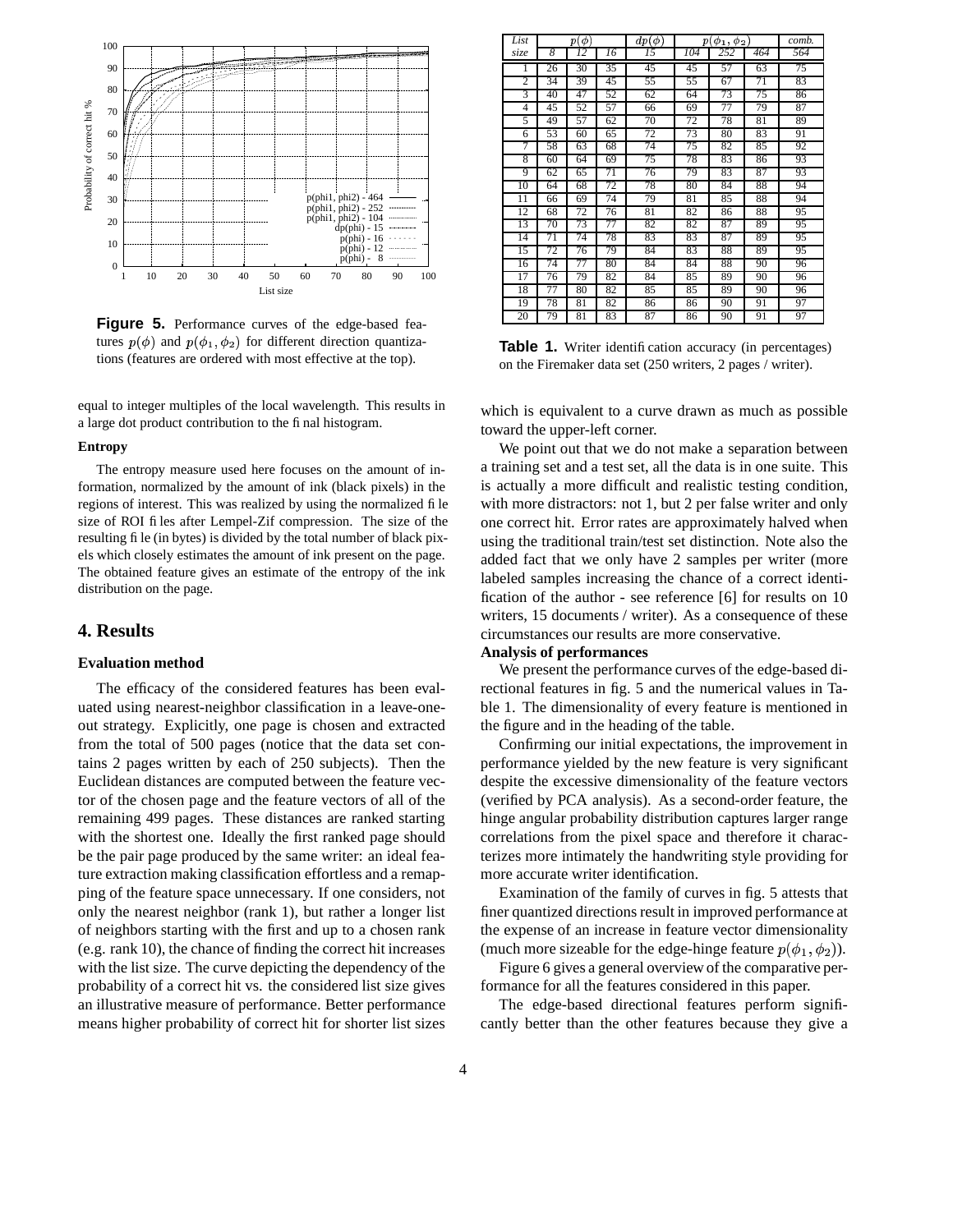

**Figure 5.** Performance curves of the edge-based features  $p(\phi)$  and  $p(\phi_1, \phi_2)$  for different direction quantizations (features are ordered with most effective at the top).

equal to integer multiples of the local wavelength. This results in a large dot product contribution to the final histogram.

#### **Entropy**

The entropy measure used here focuses on the amount of information, normalized by the amount of ink (black pixels) in the regions of interest. This was realized by using the normalized file size of ROI files after Lempel-Zif compression. The size of the resulting file (in bytes) is divided by the total number of black pixels which closely estimates the amount of ink present on the page. The obtained feature gives an estimate of the entropy of the ink distribution on the page.

### **4. Results**

#### **Evaluation method**

The efficacy of the considered features has been evaluated using nearest-neighbor classification in a leave-oneout strategy. Explicitly, one page is chosen and extracted from the total of 500 pages (notice that the data set contains 2 pages written by each of 250 subjects). Then the Euclidean distances are computed between the feature vector of the chosen page and the feature vectors of all of the remaining 499 pages. These distances are ranked starting with the shortest one. Ideally the first ranked page should be the pair page produced by the same writer: an ideal feature extraction making classification effortless and a remapping of the feature space unnecessary. If one considers, not only the nearest neighbor (rank 1), but rather a longer list of neighbors starting with the first and up to a chosen rank (e.g. rank 10), the chance of finding the correct hit increases with the list size. The curve depicting the dependency of the probability of a correct hit vs. the considered list size gives an illustrative measure of performance. Better performance means higher probability of correct hit for shorter list sizes

| List           | $p(\phi)$ |    |    | $dp(\phi)$ | $p(\phi_1, \phi_2)$ |     |     | comb. |
|----------------|-----------|----|----|------------|---------------------|-----|-----|-------|
| size           | 8         | 12 | 16 | 15         | 104                 | 252 | 464 | 564   |
| 1              | 26        | 30 | 35 | 45         | 45                  | 57  | 63  | 75    |
| $\overline{2}$ | 34        | 39 | 45 | 55         | 55                  | 67  | 71  | 83    |
| 3              | 40        | 47 | 52 | 62         | 64                  | 73  | 75  | 86    |
| 4              | 45        | 52 | 57 | 66         | 69                  | 77  | 79  | 87    |
| 5              | 49        | 57 | 62 | 70         | 72                  | 78  | 81  | 89    |
| 6              | 53        | 60 | 65 | 72         | 73                  | 80  | 83  | 91    |
| 7              | 58        | 63 | 68 | 74         | 75                  | 82  | 85  | 92    |
| 8              | 60        | 64 | 69 | 75         | 78                  | 83  | 86  | 93    |
| 9              | 62        | 65 | 71 | 76         | 79                  | 83  | 87  | 93    |
| 10             | 64        | 68 | 72 | 78         | 80                  | 84  | 88  | 94    |
| 11             | 66        | 69 | 74 | 79         | 81                  | 85  | 88  | 94    |
| 12             | 68        | 72 | 76 | 81         | 82                  | 86  | 88  | 95    |
| 13             | 70        | 73 | 77 | 82         | 82                  | 87  | 89  | 95    |
| 14             | 71        | 74 | 78 | 83         | 83                  | 87  | 89  | 95    |
| 15             | 72        | 76 | 79 | 84         | 83                  | 88  | 89  | 95    |
| 16             | 74        | 77 | 80 | 84         | 84                  | 88  | 90  | 96    |
| 17             | 76        | 79 | 82 | 84         | 85                  | 89  | 90  | 96    |
| 18             | 77        | 80 | 82 | 85         | 85                  | 89  | 90  | 96    |
| 19             | 78        | 81 | 82 | 86         | 86                  | 90  | 91  | 97    |
| 20             | 79        | 81 | 83 | 87         | 86                  | 90  | 91  | 97    |

**Table 1.** Writer identification accuracy (in percentages) on the Firemaker data set (250 writers, 2 pages / writer).

which is equivalent to a curve drawn as much as possible toward the upper-left corner.

We point out that we do not make a separation between a training set and a test set, all the data is in one suite. This is actually a more difficult and realistic testing condition, with more distractors: not 1, but 2 per false writer and only one correct hit. Error rates are approximately halved when using the traditional train/test set distinction. Note also the added fact that we only have 2 samples per writer (more labeled samples increasing the chance of a correct identification of the author - see reference [6] for results on 10 writers, 15 documents / writer). As a consequence of these circumstances our results are more conservative.

## **Analysis of performances**

We present the performance curves of the edge-based directional features in fig. 5 and the numerical values in Table 1. The dimensionality of every feature is mentioned in the figure and in the heading of the table.

Confirming our initial expectations, the improvement in performance yielded by the new feature is very significant despite the excessive dimensionality of the feature vectors (verified by PCA analysis). As a second-order feature, the hinge angular probability distribution captures larger range correlations from the pixel space and therefore it characterizes more intimately the handwriting style providing for more accurate writer identification.

Examination of the family of curves in fig. 5 attests that finer quantized directions result in improved performance at the expense of an increase in feature vector dimensionality (much more sizeable for the edge-hinge feature  $p(\phi_1, \phi_2)$ ).

Figure 6 gives a general overview of the comparative performance for all the features considered in this paper.

The edge-based directional features perform significantly better than the other features because they give a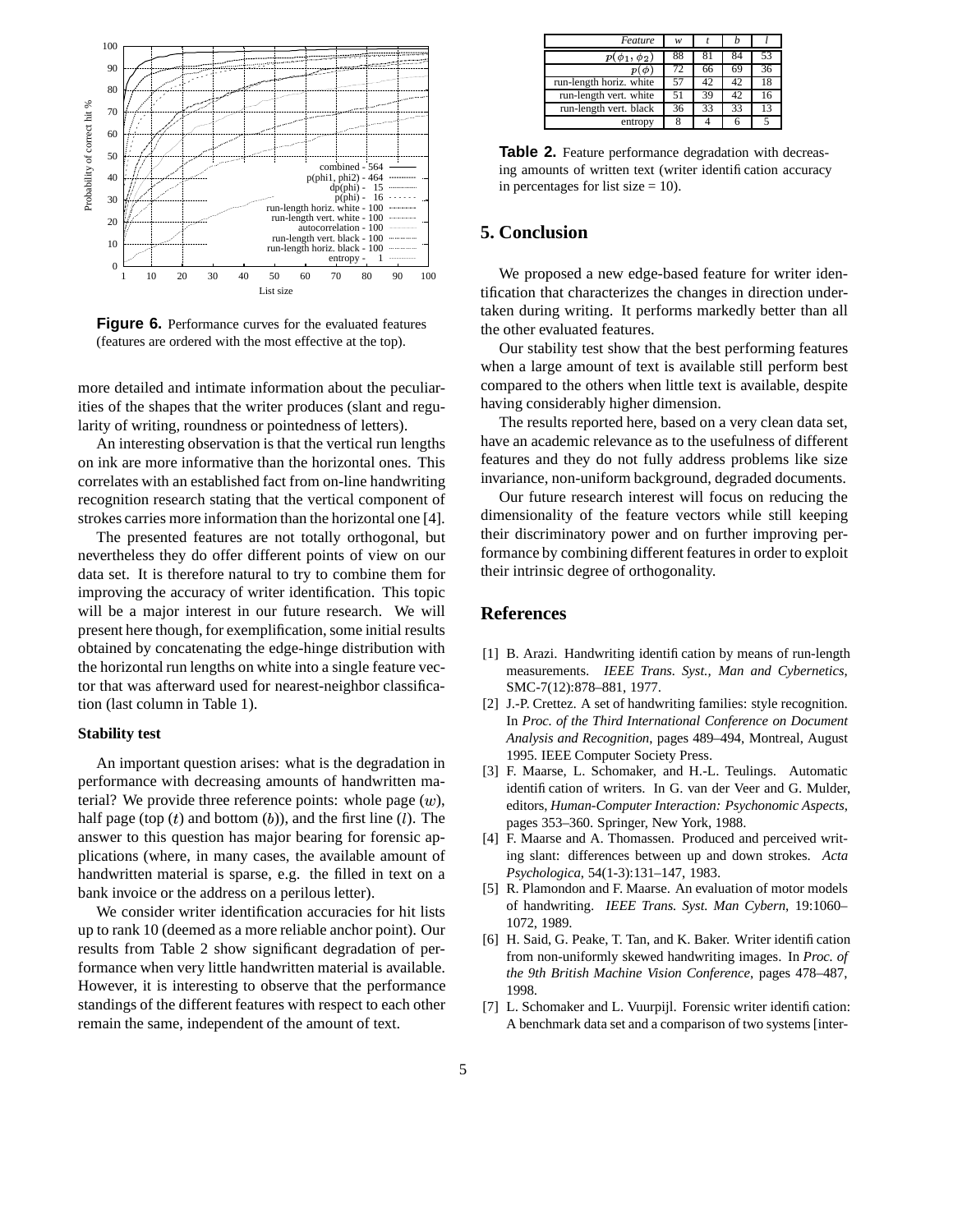

**Figure 6.** Performance curves for the evaluated features (features are ordered with the most effective at the top).

more detailed and intimate information about the peculiarities of the shapes that the writer produces (slant and regularity of writing, roundness or pointedness of letters).

An interesting observation is that the vertical run lengths on ink are more informative than the horizontal ones. This correlates with an established fact from on-line handwriting recognition research stating that the vertical component of strokes carries more information than the horizontal one [4].

The presented features are not totally orthogonal, but nevertheless they do offer different points of view on our data set. It is therefore natural to try to combine them for improving the accuracy of writer identification. This topic will be a major interest in our future research. We will present here though, for exemplification, some initial results obtained by concatenating the edge-hinge distribution with the horizontal run lengths on white into a single feature vector that was afterward used for nearest-neighbor classification (last column in Table 1).

### **Stability test**

An important question arises: what is the degradation in performance with decreasing amounts of handwritten material? We provide three reference points: whole page  $(w)$ , half page (top  $(t)$  and bottom  $(b)$ ), and the first line  $(l)$ . The answer to this question has major bearing for forensic applications (where, in many cases, the available amount of handwritten material is sparse, e.g. the filled in text on a bank invoice or the address on a perilous letter).

We consider writer identification accuracies for hit lists up to rank 10 (deemed as a more reliable anchor point). Our results from Table 2 show significant degradation of performance when very little handwritten material is available. However, it is interesting to observe that the performance standings of the different features with respect to each other remain the same, independent of the amount of text.

| Feature                 | w  |    |    |    |
|-------------------------|----|----|----|----|
| $p(\phi_1, \phi_2)$     | 88 |    |    | 53 |
|                         | 72 | 66 | 69 | 36 |
| run-length horiz. white |    | 42 | 42 | 18 |
| run-length vert. white  | 51 | 39 | 42 | 16 |
| run-length vert. black  | 36 | 33 | 33 | 13 |
| entropy                 |    |    |    |    |
|                         |    |    |    |    |

**Table 2.** Feature performance degradation with decreasing amounts of written text (writer identification accuracy in percentages for list size  $= 10$ ).

## **5. Conclusion**

We proposed a new edge-based feature for writer identification that characterizes the changes in direction undertaken during writing. It performs markedly better than all the other evaluated features.

Our stability test show that the best performing features when a large amount of text is available still perform best compared to the others when little text is available, despite having considerably higher dimension.

The results reported here, based on a very clean data set, have an academic relevance as to the usefulness of different features and they do not fully address problems like size invariance, non-uniform background, degraded documents.

Our future research interest will focus on reducing the dimensionality of the feature vectors while still keeping their discriminatory power and on further improving performance by combining different features in order to exploit their intrinsic degree of orthogonality.

## **References**

- [1] B. Arazi. Handwriting identification by means of run-length measurements. *IEEE Trans. Syst., Man and Cybernetics*, SMC-7(12):878–881, 1977.
- [2] J.-P. Crettez. A set of handwriting families: style recognition. In *Proc. of the Third International Conference on Document Analysis and Recognition*, pages 489–494, Montreal, August 1995. IEEE Computer Society Press.
- [3] F. Maarse, L. Schomaker, and H.-L. Teulings. Automatic identification of writers. In G. van der Veer and G. Mulder, editors, *Human-Computer Interaction: Psychonomic Aspects*, pages 353–360. Springer, New York, 1988.
- [4] F. Maarse and A. Thomassen. Produced and perceived writing slant: differences between up and down strokes. *Acta Psychologica*, 54(1-3):131–147, 1983.
- [5] R. Plamondon and F. Maarse. An evaluation of motor models of handwriting. *IEEE Trans. Syst. Man Cybern*, 19:1060– 1072, 1989.
- [6] H. Said, G. Peake, T. Tan, and K. Baker. Writer identification from non-uniformly skewed handwriting images. In *Proc. of the 9th British Machine Vision Conference*, pages 478–487, 1998.
- [7] L. Schomaker and L. Vuurpijl. Forensic writer identification: A benchmark data set and a comparison of two systems [inter-